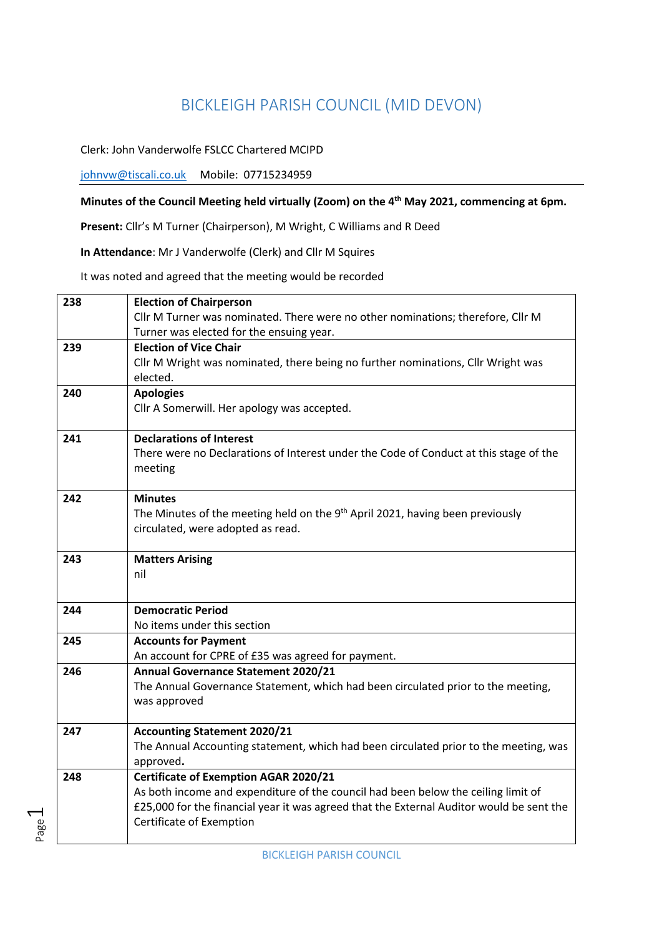## BICKLEIGH PARISH COUNCIL (MID DEVON)

Clerk: John Vanderwolfe FSLCC Chartered MCIPD

johnvw@tiscali.co.uk Mobile: 07715234959

Page  $\overline{\phantom{0}}$ 

## **Minutes of the Council Meeting held virtually (Zoom) on the 4th May 2021, commencing at 6pm.**

**Present:** Cllr's M Turner (Chairperson), M Wright, C Williams and R Deed

**In Attendance**: Mr J Vanderwolfe (Clerk) and Cllr M Squires

It was noted and agreed that the meeting would be recorded

| 238 | <b>Election of Chairperson</b>                                                                                                                                                |
|-----|-------------------------------------------------------------------------------------------------------------------------------------------------------------------------------|
|     | Cllr M Turner was nominated. There were no other nominations; therefore, Cllr M<br>Turner was elected for the ensuing year.                                                   |
| 239 | <b>Election of Vice Chair</b>                                                                                                                                                 |
|     | Cllr M Wright was nominated, there being no further nominations, Cllr Wright was                                                                                              |
|     | elected.                                                                                                                                                                      |
| 240 | <b>Apologies</b>                                                                                                                                                              |
|     | Cllr A Somerwill. Her apology was accepted.                                                                                                                                   |
| 241 | <b>Declarations of Interest</b>                                                                                                                                               |
|     | There were no Declarations of Interest under the Code of Conduct at this stage of the                                                                                         |
|     | meeting                                                                                                                                                                       |
| 242 | <b>Minutes</b>                                                                                                                                                                |
|     | The Minutes of the meeting held on the $9th$ April 2021, having been previously                                                                                               |
|     | circulated, were adopted as read.                                                                                                                                             |
| 243 | <b>Matters Arising</b>                                                                                                                                                        |
|     | nil                                                                                                                                                                           |
|     |                                                                                                                                                                               |
| 244 | <b>Democratic Period</b>                                                                                                                                                      |
|     | No items under this section                                                                                                                                                   |
| 245 | <b>Accounts for Payment</b>                                                                                                                                                   |
| 246 | An account for CPRE of £35 was agreed for payment.<br>Annual Governance Statement 2020/21                                                                                     |
|     | The Annual Governance Statement, which had been circulated prior to the meeting,                                                                                              |
|     | was approved                                                                                                                                                                  |
|     |                                                                                                                                                                               |
| 247 | <b>Accounting Statement 2020/21</b>                                                                                                                                           |
|     | The Annual Accounting statement, which had been circulated prior to the meeting, was                                                                                          |
|     | approved.                                                                                                                                                                     |
| 248 | <b>Certificate of Exemption AGAR 2020/21</b>                                                                                                                                  |
|     | As both income and expenditure of the council had been below the ceiling limit of<br>£25,000 for the financial year it was agreed that the External Auditor would be sent the |
|     | Certificate of Exemption                                                                                                                                                      |
|     |                                                                                                                                                                               |